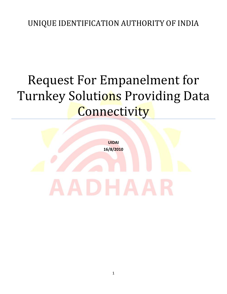## Request For Empanelment for Turnkey Solutions Providing Data **Connectivity**

**UIDAI 16/8/2010**

1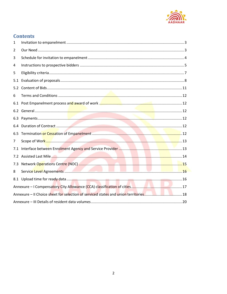

### **Contents**

| $\mathbf{1}$   |  |
|----------------|--|
| $\overline{2}$ |  |
| 3              |  |
| 4              |  |
| 5              |  |
| 5.1            |  |
| 5.2            |  |
| 6              |  |
|                |  |
|                |  |
| 6.3            |  |
|                |  |
| 6.5            |  |
| $\overline{7}$ |  |
| 7.1            |  |
|                |  |
|                |  |
| 8              |  |
|                |  |
|                |  |
|                |  |
|                |  |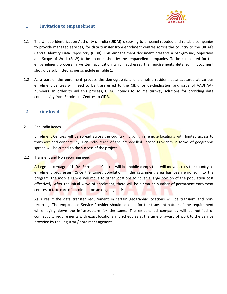

#### <span id="page-2-0"></span>**1 Invitation to empanelment**

- 1.1 The Unique Identification Authority of India (UIDAI) is seeking to empanel reputed and reliable companies to provide managed services, for data transfer from enrolment centres across the country to the UIDAI's Central Identity Data Repository (CIDR). This empanelment document presents a background, objectives and Scope of Work (SoW) to be accomplished by the empanelled companies. To be considered for the empanelment process, a written application which addresses the requirements detailed in document should be submitted as per schedule in Table 1.
- 1.2 As a part of the enrolment process the demographic and biometric resident data captured at various enrolment centres will need to be transferred to the CIDR for de-duplication and issue of AADHAAR numbers. In order to aid this process, UIDAI intends to source turnkey solutions for providing data connectivity from Enrolment Centres to CIDR.

#### <span id="page-2-1"></span>**2 Our Need**

#### 2.1 Pan-India Reach

Enrolment Centres will be spread across the country including in remote locations with limited access to transport and connectivity, Pan-India reach of the empanelled Service Providers in terms of geographic spread will be critical to the success of the project.

#### 2.2 Transient and Non recurring need

A large percentage of UIDAI Enrolment Centres will be mobile camps that will move across the country as enrolment progresses. Once the target population in the catchment area has been enrolled into the program, the mobile camps will move to other locations to cover a large portion of the population cost effectively. After the initial wave of enrolment, there will be a smaller number of permanent enrolment centres to take care of enrolment on an ongoing basis.

As a result the data transfer requirement in certain geographic locations will be transient and nonrecurring. The empanelled Service Provider should account for the transient nature of the requirement while laying down the infrastructure for the same. The empanelled companies will be notified of connectivity requirements with exact locations and schedules at the time of award of work to the Service provided by the Registrar / enrolment agencies.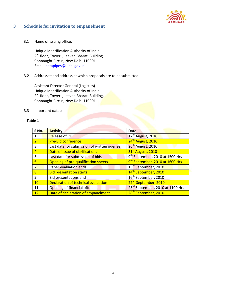

#### <span id="page-3-0"></span>**3 Schedule for invitation to empanelment**

3.1 Name of issuing office:

Unique Identification Authority of India 2<sup>nd</sup> floor, Tower I, Jeevan Bharati Building, Connaught Circus, New Delhi 110001 Email[: datapipes@uidai.gov.in](mailto:datapipes@uidai.gov.in)

#### 3.2 Addressee and address at which proposals are to be submitted:

Assistant Director General (Logistics) Unique Identification Authority of India 2<sup>nd</sup> floor, Tower I, Jeevan Bharati Building, Connaught Circus, New Delhi 110001

3.3 Important dates:

#### **Table 1**

| S No.          | <b>Activity</b>                             | <b>Date</b>                                  |
|----------------|---------------------------------------------|----------------------------------------------|
|                | <b>Release of RFE</b>                       | 17 <sup>th</sup> August, 2010                |
| $\overline{2}$ | <b>Pre-Bid conference</b>                   | 24 <sup>th</sup> August, 2010                |
| 3              | Last date for submission of written queries | 26 <sup>th</sup> August, 2010                |
| $\overline{4}$ | Date of issue of clarifications             | 31 <sup>st</sup> August, 2010                |
| .5             | Last date for submission of bids            | 9 <sup>th</sup> September, 2010 at 1500 Hrs  |
| 6              | Opening of pre-qualification sheets         | 9 <sup>th</sup> September, 2010 at 1600 Hrs  |
|                | Paper evaluation ends                       | 13 <sup>th</sup> September, 2010             |
| $\overline{8}$ | <b>Bid presentation starts</b>              | 14 <sup>th</sup> September, 2010             |
| q              | Bid presentations end                       | 16 <sup>th</sup> September, 2010             |
| 10             | Declaration of technical evaluation         | 22 <sup>nd</sup> September, 2010             |
| 11             | Opening of financial offers                 | 23 <sup>rd</sup> September, 2010 at 1100 Hrs |
| 12             | Date of declaration of empanelment          | 28 <sup>th</sup> September, 2010             |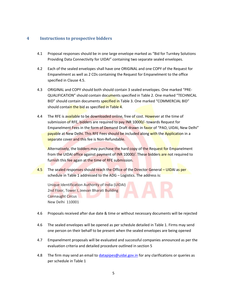#### <span id="page-4-0"></span>**4 Instructions to prospective bidders**

- 4.1 Proposal responses should be in one large envelope marked as "Bid for Turnkey Solutions Providing Data Connectivity for UIDAI" containing two separate sealed envelopes.
- 4.2 Each of the sealed envelopes shall have one ORIGINAL and one COPY of the Request for Empanelment as well as 2 CDs containing the Request for Empanelment to the office specified in Clause 4.5.
- 4.3 ORIGINAL and COPY should both should contain 3 sealed envelopes. One marked "PRE-QUALIFICATION" should contain documents specified in Table 2. One marked "TECHNICAL BID" should contain documents specified in Table 3. One marked "COMMERCIAL BID" should contain the bid as specified in Table 4.
- 4.4 The RFE is available to be downloaded online, free of cost. However at the time of submission of RFE, bidders are required to pay INR 10000/- towards Request for Empanelment Fees in the form of Demand Draft drawn in favor of "PAO, UIDAI, New Delhi" payable at New Delhi. This RFE Fees should be included along with the Application in a separate cover and this fee is Non-Refundable.

Alternatively, the bidders may purchase the hard copy of the Request for Empanelment from the UIDAI office against payment of INR 10000/. These bidders are not required to furnish this fee again at the time of RFE submission.

4.5 The sealed responses should reach the Office of the Director General – UIDAI as per schedule in Table 1 addressed to the ADG – Logistics. The address is:

Unique Identification Authority of India (UIDAI) 2nd Floor, Tower I, Jeevan Bharati Building Connaught Circus New Delhi 110001

- 4.6 Proposals received after due date & time or without necessary documents will be rejected
- 4.6 The sealed envelopes will be opened as per schedule detailed in Table 1. Firms may send one person on their behalf to be present when the sealed envelopes are being opened
- 4.7 Empanelment proposals will be evaluated and successful companies announced as per the evaluation criteria and detailed procedure outlined in section 5
- 4.8 The firm may send an email to [datapipes@uidai.gov.in](mailto:datapipes@uidai.gov.in) for any clarifications or queries as per schedule in Table 1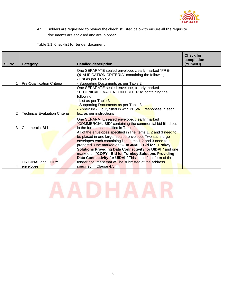

4.9 Bidders are requested to review the checklist listed below to ensure all the requisite documents are enclosed and are in order.

Table 1.1: Checklist for tender document

| SI. No. | <b>Category</b>                      | <b>Detailed description</b>                                                                                                                                                                                                                                                                                                                                                                                                                                                                                                    | <b>Check for</b><br>completion<br>(YES/NO) |
|---------|--------------------------------------|--------------------------------------------------------------------------------------------------------------------------------------------------------------------------------------------------------------------------------------------------------------------------------------------------------------------------------------------------------------------------------------------------------------------------------------------------------------------------------------------------------------------------------|--------------------------------------------|
|         | <b>Pre-Qualification Criteria</b>    | One SEPARATE sealed envelope, clearly marked "PRE-<br>QUALIFICATION CRITERIA" containing the following:<br>- List as per Table 2<br>- Supporting Documents as per Table 2                                                                                                                                                                                                                                                                                                                                                      |                                            |
|         | <b>Technical Evaluation Criteria</b> | One SEPARATE sealed envelope, clearly marked<br>"TECHNICAL EVALUATION CRITERIA" containing the<br>following:<br>- List as per Table 3<br>- Supporting Documents as per Table 3<br>- Annexure - II duly filled in with YES/NO responses in each<br>box as per instructions                                                                                                                                                                                                                                                      |                                            |
| 3       | <b>Commercial Bid</b>                | One SEPARATE sealed envelope, clearly marked<br>"COMMERCIAL BID" containing the commercial bid filled out<br>in the format as specified in Table 4                                                                                                                                                                                                                                                                                                                                                                             |                                            |
|         | ORIGINAL and COPY<br>envelopes       | All of the envelopes specified in line items 1, 2 and 3 need to<br>be placed in one larger sealed envelope. Two such large<br>envelopes each containing line items 1,2 and 3 need to be<br>prepared. One marked as "ORIGINAL - Bid for Turnkey<br><b>Solutions Providing Data Connectivity for UIDAI</b> " and one<br>marked as "COPY - Bid for Turnkey Solutions Providing<br>Data Connectivity for UIDAI " This is the final form of the<br>tender document that will be submitted at the address<br>specified in Clause 4.5 |                                            |

# <span id="page-5-0"></span>**AADHAAR**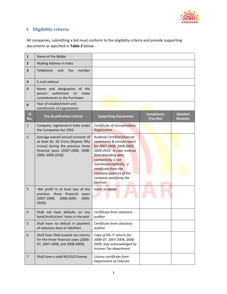

#### **5 Eligibility criteria**

All companies, submitting a bid must conform to the eligibility criteria and provide supporting documents as specified in **Table 2** below:

| $\mathbf{1}$   | Name of the Bidder                                                                                                                                                      |                                                                                                                                                                                                                                                                                          |                               |                                   |
|----------------|-------------------------------------------------------------------------------------------------------------------------------------------------------------------------|------------------------------------------------------------------------------------------------------------------------------------------------------------------------------------------------------------------------------------------------------------------------------------------|-------------------------------|-----------------------------------|
| $\overline{2}$ | Mailing Address in India                                                                                                                                                |                                                                                                                                                                                                                                                                                          |                               |                                   |
| 3              | Telephone<br>and<br>number<br>Fax                                                                                                                                       |                                                                                                                                                                                                                                                                                          |                               |                                   |
| 4              | E-mail address                                                                                                                                                          |                                                                                                                                                                                                                                                                                          |                               |                                   |
| 5              | Name and designation of the<br>authorized<br>make<br>person<br>to<br>commitments to the Purchaser                                                                       |                                                                                                                                                                                                                                                                                          |                               |                                   |
| 6              | Year of establishment and<br>constitution of organization                                                                                                               |                                                                                                                                                                                                                                                                                          |                               |                                   |
| SI<br>No.      | <b>Pre-Qualification Criteria</b>                                                                                                                                       | <b>Supporting Documents</b>                                                                                                                                                                                                                                                              | <b>Compliance</b><br>(Yes/No) | <b>Detailed</b><br><b>Remarks</b> |
| $\mathbf{1}$   | Company registered in India under<br>the Companies Act 1956                                                                                                             | Certificate of Incorporation/<br>Registration                                                                                                                                                                                                                                            |                               |                                   |
| $\overline{2}$ | Average overall annual turnover of<br>at least Rs. 50 Crore (Rupees fifty<br>crores) during the previous three<br>financial years (2007-2008, 2008-<br>2009, 2009-2010) | Audited/ Certified financial<br>statements & annual report<br>for 2007-2008, 2008-2009,<br>2009-2010. In case revenue<br>from providing data<br>connectivity is not<br>mentioned explicitly, a<br>certificate from the<br>statutory auditors of the<br>company qualifying the<br>revenue |                               |                                   |
| 3              | Net profit in at least two of the<br>previous three financial<br>years<br>$(2007 - 2008,$<br>2008-2009,<br>2009-<br>$2010$ ).                                           | Same as above.                                                                                                                                                                                                                                                                           |                               |                                   |
| 4              | Shall not have defaults on any<br>bank/institutions' loans in the past                                                                                                  | Certificate from statutory<br>auditor                                                                                                                                                                                                                                                    |                               |                                   |
| 5              | Shall have no default in payment<br>of statutory dues or liabilities                                                                                                    | Certificate from statutory<br>auditor                                                                                                                                                                                                                                                    |                               |                                   |
| 6              | Shall have filed income tax returns<br>for the three financial years (2006-<br>07, 2007-2008, and 2008-2009).                                                           | Copy of the IT returns for<br>2006-07, 2007-2008, 2008-<br>2009, duly acknowledged by<br>Income-Tax department                                                                                                                                                                           |                               |                                   |
| $\overline{7}$ | Shall have a valid NLD/ILD license                                                                                                                                      | License certificate from<br>Department of Telecom                                                                                                                                                                                                                                        |                               |                                   |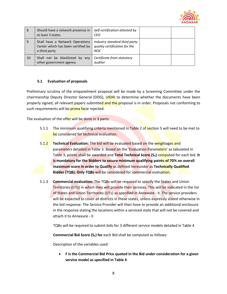

| -8 | Should have a network presence in<br>at least 3 states                                 | Self-certification attested by<br>CEO                                        |  |
|----|----------------------------------------------------------------------------------------|------------------------------------------------------------------------------|--|
| 9  | Shall have a Network Operations<br>Center which has been certified by<br>a third party | Industry standard third party<br>quality certification for the<br><b>NOC</b> |  |
| 10 | Shall not be blacklisted by any<br>other government agency                             | Certificate from statutory<br>auditor                                        |  |

#### <span id="page-7-0"></span>**5.1 Evaluation of proposals**

Preliminary scrutiny of the empanelment proposal will be made by a Screening Committee under the chairmanship Deputy Director General (DDG), UIDAI to determine whether the documents have been properly signed, all relevant papers submitted and the proposal is in order. Proposals not conforming to such requirements will be prima facie rejected.

The evaluation of the offer will be done in 3 parts:

- 5.1.1 The minimum qualifying criteria mentioned in Table 2 of section 5 will need to be met to be considered for technical evaluation.
- 5.1.2 **Technical Evaluation:** The bid will be evaluated based on the weightages and parameters detailed in Table 3. Based on the 'Evaluation Parameters' as tabulated in Table 3, points shall be awarded and **Total Technical Score (ST)** computed for each bid. **It is mandatory for the Bidders to secure minimum qualifying points of 70% on overall maximum score in order to Qualify** as defined hereunder as **Technically Qualified Bidder (TQB). Only TQBs** will be considered for commercial evaluation.
- 5.1.3 **Commercial evaluation:** The TQBs will be required to specify the States and Union Territories (UTs) in which they will provide their services. This will be indicated in the list of States and Union Territories (UTs) as specified in Annexure - II. The service providers will be expected to cover all districts in these states, unless expressly stated otherwise in the bid response. The Service Provider will then have to provide an additional enclosure in the response stating the locations within a serviced state that will not be covered and attach it to Annexure - II

TQBs will be required to submit bids for 3 different service models detailed in Table 4

**Commercial Bid Score (S<sub>F</sub>) for** each Bid shall be computed as follows:

Description of the variables used:

 **F is the Commercial Bid Price quoted in the Bid under consideration for a given service model as specified in Table 4**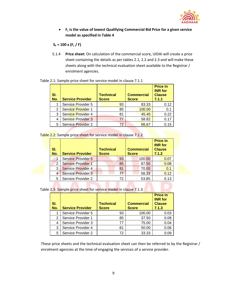

 **F<sup>L</sup> is the value of lowest Qualifying Commercial Bid Price for a given service model as specified in Table 4**

#### $S_F = 100 \times (F_L / F)$

5.1.4 **Price sheet:** On calculation of the commercial score, UIDAI will create a price sheet containing the details as per tables 2.1, 2.2 and 2.3 and will make these sheets along with the technical evaluation sheet available to the Registrar / enrolment agencies.

| SI.<br>No. | <b>Service Provider</b>   | <b>Technical</b><br><b>Score</b> | <b>Commercial</b><br><b>Score</b> | <b>Price in</b><br><b>INR</b> for<br><b>Clause</b><br>7.1.1 |
|------------|---------------------------|----------------------------------|-----------------------------------|-------------------------------------------------------------|
|            | Service Provider 5        | 93                               | 83.33                             | 0.12                                                        |
| 2          | Service Provider 1        | 85                               | 100.00                            | 0.1                                                         |
| 3          | Service Provider 4        | 81                               | 45.45                             | 0.22                                                        |
| 4          | <b>Service Provider 3</b> | 77                               | 58.82                             | 0.17                                                        |
| 5          | <b>Service Provider 2</b> | 72                               | 66.67                             | 0.15                                                        |

#### Table 2.1: Sample price sheet for service model in clause 7.1.1

Table 2.2: Sample price sheet for service model in clause 7.1.2

| SI.<br>No.     | <b>Service Provider</b>   | <b>Technical</b><br><b>Score</b> | <b>Commercial</b><br><b>Score</b> | <b>Price in</b><br><b>INR</b> for<br><b>Clause</b><br>7.1.2 |
|----------------|---------------------------|----------------------------------|-----------------------------------|-------------------------------------------------------------|
|                | <b>Service Provider 5</b> | 93                               | 100.00                            | 0.07                                                        |
| $\overline{2}$ | <b>Service Provider 1</b> | 85                               | 87.50                             | 0.08                                                        |
| 3              | <b>Service Provider 4</b> | 81                               | 70.00                             | 0.1                                                         |
|                | <b>Service Provider 3</b> | 77                               | 58.33                             | 0.12                                                        |
| 5              | Service Provider 2        | 72                               | 53.85                             | 0.13                                                        |

Table 2.3: Sample price sheet for service model in clause 7.1.3

| SI.<br>No. | <b>Service Provider</b> | <b>Technical</b><br><b>Score</b> | <b>Commercial</b><br><b>Score</b> | <b>Price in</b><br><b>INR</b> for<br><b>Clause</b><br>7.1.3 |
|------------|-------------------------|----------------------------------|-----------------------------------|-------------------------------------------------------------|
|            | Service Provider 5      | 93                               | 100.00                            | 0.03                                                        |
| 2          | Service Provider 1      | 85                               | 37.50                             | 0.08                                                        |
| 4          | Service Provider 3      | 77                               | 75.00                             | 0.04                                                        |
| 3          | Service Provider 4      | 81                               | 50.00                             | 0.06                                                        |
| 5          | Service Provider 2      | 72                               | 33.33                             | 0.09                                                        |

These price sheets and the technical evaluation sheet can then be referred to by the Registrar / enrolment agencies at the time of engaging the services of a service provider.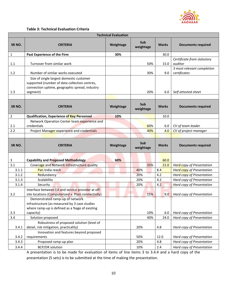

#### **Table 3: Technical Evaluation Criteria**

|                    |                                                                                                                                             | <b>Technical Evaluation</b> |                  |              |                                                        |
|--------------------|---------------------------------------------------------------------------------------------------------------------------------------------|-----------------------------|------------------|--------------|--------------------------------------------------------|
| SR <sub>NO</sub> . | <b>CRITERIA</b>                                                                                                                             | Weightage                   | Sub<br>weightage | <b>Marks</b> | <b>Documents required</b>                              |
| 1                  | Past Experience of the Firm                                                                                                                 | 30%                         |                  | 30.0         |                                                        |
| 1.1                | Turnover from similar work                                                                                                                  |                             | 50%              | 15.0         | Certificate from statutory<br>auditor                  |
| 1.2                | Number of similar works executed                                                                                                            |                             | 30%              | 9.0          | 3 most relevant completion<br>certificates             |
|                    | Size of single largest domestic customer<br>supported (number of data collection centres,<br>connection uptime, geographic spread, industry |                             |                  |              |                                                        |
| 1.3                | segment)                                                                                                                                    |                             | 20%              | 6.0          | Self attested sheet                                    |
| SR <sub>NO</sub> . | <b>CRITERIA</b>                                                                                                                             | Weightage                   | Sub<br>weightage | <b>Marks</b> | <b>Documents required</b>                              |
| 2                  | <b>Qualification, Experience of Key Personnel</b>                                                                                           | 10%                         |                  | 10.0         |                                                        |
| 2.1                | Network Operation Center team experience and<br>credentials                                                                                 |                             | 60%              | 6.0          | CV of team leader                                      |
| 2.2                | Project Manager experience and credentials                                                                                                  |                             | 40%              | 4.0          | CV of project manager                                  |
|                    |                                                                                                                                             |                             |                  |              |                                                        |
|                    |                                                                                                                                             |                             | Sub              |              |                                                        |
| SR <sub>NO</sub> . | <b>CRITERIA</b>                                                                                                                             | Weightage                   | weightage        | <b>Marks</b> | <b>Documents required</b>                              |
| 3                  | <b>Capability and Proposed Methodology</b>                                                                                                  | 60%                         |                  | 60.0         |                                                        |
| 3.1                | Coverage and Network infrastructure quality                                                                                                 |                             | 35%              | 21.0         | Hard copy of Presentation                              |
| 3.1.1              | Pan India reach                                                                                                                             |                             | 40%              | 8.4          | <b>Hard copy of Presentation</b>                       |
| 3.1.2              | Redundancy                                                                                                                                  |                             | 20%              | 4.2          | <b>Hard copy of Presentation</b>                       |
| 3.1.3              | Scalability                                                                                                                                 |                             | 20%              | 4.2          | Hard copy of Presentation                              |
| 3.1.4              | Security                                                                                                                                    |                             | 20%              | 4.2          | Hard copy of Presentation                              |
| 3.2                | Interface between EA and service provider at off-<br>site locations (Computerized v. Plain connectivity)                                    |                             | 15%              | 9.0          | Hard copy of Presentation                              |
|                    | Demonstrated ramp-up of network<br>infrastructure (as measured by 3 case studies<br>where ramp-up is defined as a %age of existing          |                             |                  |              |                                                        |
| 3.3                | capacity)                                                                                                                                   |                             | 10%              | 6.0          | Hard copy of Presentation                              |
| 3.4                | Solution proposed                                                                                                                           |                             | 40%              | 24.0         | Hard copy of Presentation                              |
| 3.4.1              | Robustness of proposed solution (level of<br>detail, risk mitigation, practicality)                                                         |                             | 20%              | 4.8          | Hard copy of Presentation                              |
|                    | Innovation and features beyond proposed                                                                                                     |                             |                  |              |                                                        |
| 3.4.2              | requirements                                                                                                                                |                             | 50%              | 12.0         | Hard copy of Presentation                              |
| 3.4.3<br>3.4.4     | Proposed ramp-up plan<br><b>BCP/DR solution</b>                                                                                             |                             | 20%<br>10%       | 4.8<br>2.4   | Hard copy of Presentation<br>Hard copy of Presentation |

A presentation is to be made for evaluation of items of line items 3 to 3.4.4 and a hard copy of the presentation (5 sets) is to be submitted at the time of making the presentation.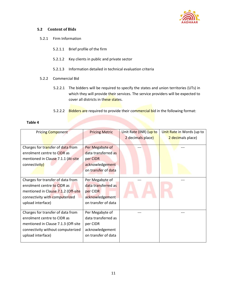

#### <span id="page-10-0"></span>**5.2 Content of Bids**

- 5.2.1 Firm Information
	- 5.2.1.1 Brief profile of the firm
	- 5.2.1.2 Key clients in public and private sector
	- 5.2.1.3 Information detailed in technical evaluation criteria
- 5.2.2 Commercial Bid
	- 5.2.2.1 The bidders will be required to specify the states and union territories (UTs) in which they will provide their services. The service providers will be expected to cover all districts in these states.
	- 5.2.2.2 Bidders are required to provide their commercial bid in the following format:

| н | ווסו | e |  |
|---|------|---|--|
|   |      |   |  |

| <b>Pricing Component</b>            | <b>Pricing Metric</b> | Unit Rate (INR) (up to | Unit Rate in Words (up to |
|-------------------------------------|-----------------------|------------------------|---------------------------|
|                                     |                       | 2 decimals place)      | 2 decimals place)         |
|                                     |                       |                        |                           |
| Charges for transfer of data from   | Per Megabyte of       |                        |                           |
| enrolment centre to CIDR as         | data transferred as   |                        |                           |
| mentioned in Clause 7.1.1 (At-site  | per CIDR              |                        |                           |
| connectivity)                       | acknowledgement       |                        |                           |
|                                     | on transfer of data   |                        |                           |
|                                     |                       |                        |                           |
| Charges for transfer of data from   | Per Megabyte of       |                        |                           |
| enrolment centre to CIDR as         | data transferred as   |                        |                           |
| mentioned in Clause 7.1.2 (Off-site | per CIDR              |                        |                           |
| connectivity with computerized      | acknowledgement       |                        |                           |
| upload interface)                   | on transfer of data   |                        |                           |
|                                     |                       |                        |                           |
| Charges for transfer of data from   | Per Megabyte of       |                        |                           |
| enrolment centre to CIDR as         | data transferred as   |                        |                           |
| mentioned in Clause 7.1.3 (Off-site | per CIDR              |                        |                           |
| connectivity without computerized   | acknowledgement       |                        |                           |
| upload interface)                   | on transfer of data   |                        |                           |
|                                     |                       |                        |                           |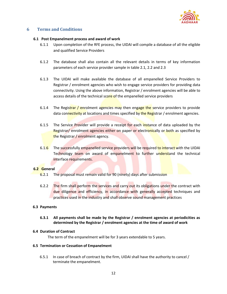

#### <span id="page-11-0"></span>**6 Terms and Conditions**

#### <span id="page-11-1"></span>**6.1 Post Empanelment process and award of work**

- 6.1.1 Upon completion of the RFE process, the UIDAI will compile a database of all the eligible and qualified Service Providers
- 6.1.2 The database shall also contain all the relevant details in terms of key information parameters of each service provider sample in table 2.1, 2.2 and 2.3
- 6.1.3 The UIDAI will make available the database of all empanelled Service Providers to Registrar / enrolment agencies who wish to engage service providers for providing data connectivity. Using the above information, Registrar / enrolment agencies will be able to access details of the technical score of the empanelled service providers
- 6.1.4 The Registrar / enrolment agencies may then engage the service providers to provide data connectivity at locations and times specified by the Registrar / enrolment agencies.
- 6.1.5 The Service Provider will provide a receipt for each instance of data uploaded by the Registrar/ enrolment agencies either on paper or electronically or both as specified by the Registrar / enrolment agency.
- 6.1.6 The successfully empanelled service providers will be required to interact with the UIDAI Technology team on award of empanelment to further understand the technical interface requirements.

#### <span id="page-11-2"></span>**6.2 General**

- 6.2.1 The proposal must remain valid for 90 (ninety) days after submission
- 6.2.2 The firm shall perform the services and carry out its obligations under the contract with due diligence and efficiency, in accordance with generally accepted techniques and practices used in the industry and shall observe sound management practices

#### <span id="page-11-3"></span>**6.3 Payments**

#### **6.3.1 All payments shall be made by the Registrar / enrolment agencies at periodicities as determined by the Registrar / enrolment agencies at the time of award of work**

#### <span id="page-11-4"></span>**6.4 Duration of Contract**

The term of the empanelment will be for 3 years extendable to 5 years.

#### <span id="page-11-5"></span>**6.5 Termination or Cessation of Empanelment**

6.5.1 In case of breach of contract by the firm, UIDAI shall have the authority to cancel / terminate the empanelment.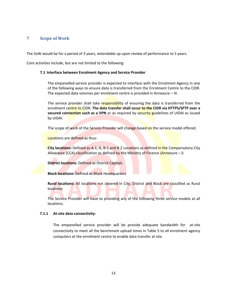#### <span id="page-12-0"></span>**7 Scope of Work**

The SoW would be for a period of 3 years, extendable up upon review of performance to 5 years.

<span id="page-12-1"></span>Core activities include, but are not limited to the following:

#### **7.1 Interface between Enrolment Agency and Service Provider**

The empanelled service provider is expected to interface with the Enrolment Agency in one of the following ways to ensure data is transferred from the Enrolment Centre to the CIDR. The expected data volumes per enrolment centre is provided in Annexure – III.

The service provider shall take responsibility of ensuring the data is transferred from the enrolment centre to CIDR**. The data transfer shall occur to the CIDR via HTTPS/SFTP over a**  secured connection such as a VPN or as required by security guidelines of UIDAI as issued by UIDAI.

The scope of work of the Service Provider will change based on the service model offered.

Locations are defined as thus:

**City locations:** Defined as A-1, A, B-1 and B-2 Locations as defined in the Compensatory City Allowance (CCA) classification as defined by the Ministry of Finance (Annexure – I)

**District locations:** Defined as District Capitals

**Block locations:** Defined as Block Headquarters

**Rural locations:** All locations not covered in City, District and Block are classified as Rural locations

The Service Provider will have to providing any of the following three service models at all locations.

#### **7.1.1 At-site data connectivity:**

The empanelled service provider will be provide adequate bandwidth for at-site connectivity to meet all the benchmark upload times in Table 5 to all enrolment agency computers at the enrolment centre to enable data transfer at site.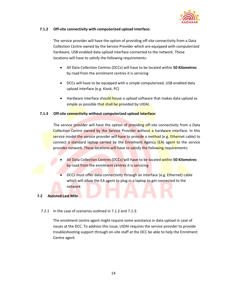

#### **7.1.2 Off-site connectivity with computerized upload interface:**

The service provider will have the option of providing off-site connectivity from a Data Collection Centre owned by the Service Provider which are equipped with computerized hardware, USB enabled data upload interface connected to the network. These locations will have to satisfy the following requirements:

- All Data Collection Centres (DCCs) will have to be located within **50 Kilometres**  by road from the enrolment centres it is servicing
- DCCs will have to be equipped with a simple computerized, USB enabled data upload interface (e.g. Kiosk, PC)
- Hardware interface should house a upload software that makes data upload as simple as possible that shall be provided by UIDAI.

#### **7.1.3 Off-site connectivity without computerized upload interface**:

The service provider will have the option of providing off-site connectivity from a Data Collection Centre owned by the Service Provider without a hardware interface. In this service model the service provider will have to provide a method (e.g. Ethernet cable) to connect a standard laptop carried by the Enrolment Agency (EA) agent to the service provider network. These locations will have to satisfy the following requirements:

- All Data Collection Centres (DCCs) will have to be located within **50 Kilometres**  by road from the enrolment centres it is servicing
- DCCs must offer data connectivity through an interface (e.g. Ethernet) cable which will allow the EA agent to plug in a laptop to get connected to the network

#### <span id="page-13-0"></span>**7.2 Assisted Last Mile**

#### 7.2.1 In the case of scenarios outlined in 7.1.2 and 7.1.3:

The enrolment centre agent might require some assistance in data upload in case of issues at the DCC. To address this issue, UIDAI requires the service provider to provide troubleshooting support through on-site staff at the DCC be able to help the Enrolment Centre agent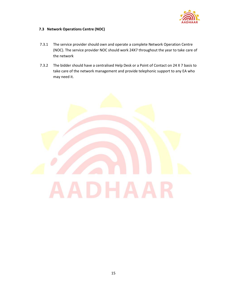

#### <span id="page-14-0"></span>**7.3 Network Operations Centre (NOC)**

- 7.3.1 The service provider should own and operate a complete Network Operation Centre (NOC). The service provider NOC should work 24X7 throughout the year to take care of the network
- 7.3.2 The bidder should have a centralised Help Desk or a Point of Contact on 24 X 7 basis to take care of the network management and provide telephonic support to any EA who may need it.

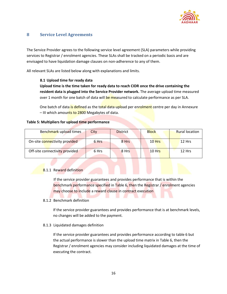

#### <span id="page-15-0"></span>**8 Service Level Agreements**

The Service Provider agrees to the following service level agreement (SLA) parameters while providing services to Registrar / enrolment agencies. These SLAs shall be tracked on a periodic basis and are envisaged to have liquidation damage clauses on non-adherence to any of them.

<span id="page-15-1"></span>All relevant SLAs are listed below along with explanations and limits.

#### **8.1 Upload time for ready data**

**Upload time is the time taken for ready data to reach CIDR once the drive containing the resident data is plugged into the Service Provider network.** The average upload time measured over 1 month for one batch of data will be measured to calculate performance as per SLA.

One batch of data is defined as the total data upload per enrolment centre per day in Annexure – III which amounts to 2800 Megabytes of data.

#### **Table 5: Multipliers for upload time performance**

| Benchmark upload times         | City  | <b>District</b> | <b>Block</b> | <b>Rural location</b> |
|--------------------------------|-------|-----------------|--------------|-----------------------|
| On-site connectivity provided  | 6 Hrs | 8 Hrs           | $10$ Hrs     | $12$ Hrs              |
| Off-site connectivity provided | 6 Hrs | 8 Hrs           | $10$ Hrs     | 12 Hrs                |

#### 8.1.1 Reward definition

If the service provider guarantees and provides performance that is within the benchmark performance specified in Table 6, then the Registrar / enrolment agencies may choose to include a reward clause in contract execution

#### 8.1.2 Benchmark definition

If the service provider guarantees and provides performance that is at benchmark levels, no changes will be added to the payment.

#### 8.1.3 Liquidated damages definition

If the service provider guarantees and provides performance according to table 6 but the actual performance is slower than the upload time matrix in Table 6, then the Registrar / enrolment agencies may consider including liquidated damages at the time of executing the contract.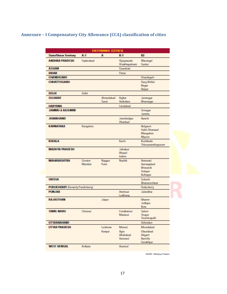#### <span id="page-16-0"></span>**Annexure – I Compensatory City Allowance (CCA) classification of cities**

|                                          |           | <b>DEFINING CITIES</b> |                             |                              |  |  |
|------------------------------------------|-----------|------------------------|-----------------------------|------------------------------|--|--|
| <b>State/Union Territory</b>             | A-1       | A                      | $B-1$                       | <b>B2</b>                    |  |  |
| <b>ANDHRA PRADESH</b>                    | Hyderabad |                        | Vijayawada<br>Visakhapatnam | Warangal<br>Guntur           |  |  |
| <b>ASSAM</b>                             |           |                        | Guwahati                    |                              |  |  |
| <b>BIHAR</b>                             |           |                        | Patria                      |                              |  |  |
| CHANDIGARH                               |           |                        |                             | Chandigarh                   |  |  |
| <b>CHHATTISGARH</b>                      |           |                        |                             | Durg-Bhillai                 |  |  |
|                                          |           |                        |                             | Nagar                        |  |  |
|                                          |           |                        |                             | Raipur                       |  |  |
| <b>DELHI</b>                             | Dehi      |                        |                             |                              |  |  |
| <b>GUJARAT</b>                           |           | Ahmedabad              | Rajkot                      | Jamnagar                     |  |  |
|                                          |           | <b>Surat</b>           | Vadodara                    | Bhavreagar                   |  |  |
| <b>HARYANA</b>                           |           |                        | Faridabad                   |                              |  |  |
| <b>JAMMU &amp; KASHMIR</b>               |           |                        |                             | Srinagar                     |  |  |
|                                          |           |                        |                             | Jammu                        |  |  |
| <b>JHARKHAND</b>                         |           |                        | Jamshedpur<br>Dhanbad       | Ranchi                       |  |  |
| KARNATAKA                                | Bangalore |                        |                             | Belgaum                      |  |  |
|                                          |           |                        |                             | Hubli-Dharwad                |  |  |
|                                          |           |                        |                             | Mangalore                    |  |  |
| <b>KERALA</b>                            |           |                        | Kochi                       | Mysore<br>Kazhikode          |  |  |
|                                          |           |                        |                             | Thiruvaranthapuram           |  |  |
| <b>MADHYA PRADESH</b>                    |           |                        | Jabalpur                    |                              |  |  |
|                                          |           |                        | Bhopal                      |                              |  |  |
|                                          |           |                        | Indore                      |                              |  |  |
| <b>MAHARASHTRA</b>                       | Greater   | Nagpur                 | Nashik                      | Armavati                     |  |  |
|                                          | Mumbail   | Pune                   |                             | Aurangabad                   |  |  |
|                                          |           |                        |                             | Bhiwandi                     |  |  |
|                                          |           |                        |                             | Solapur<br>Kolhapur          |  |  |
| <b>ORISSA</b>                            |           |                        |                             | Cuttack                      |  |  |
|                                          |           |                        |                             | Bhubaneshwar                 |  |  |
| <b>PUDUCHERRY</b> (formerly Pondicherry) |           |                        |                             | Puducherry                   |  |  |
| <b>PUNJAB</b>                            |           |                        | Amritsan<br>Ludhiana        | <b>Jalandhar</b>             |  |  |
| <b>RAJASTHAN</b>                         |           | Jaipur                 |                             | Bikaner                      |  |  |
|                                          |           |                        |                             | Jodhpur                      |  |  |
|                                          |           |                        |                             | Kota                         |  |  |
| <b>TAMIL NADU</b>                        | Chennai   |                        | Coimbatore                  | Salem                        |  |  |
|                                          |           |                        | Madurai                     | Trupur                       |  |  |
|                                          |           |                        |                             | Truchirapalli                |  |  |
| UTTARAKHAND                              |           |                        |                             | Dehradun                     |  |  |
| <b>UTTAR PRADESH</b>                     |           | Lucknow                | Meenit                      | Moradabad                    |  |  |
|                                          |           | Karpur                 | Agra                        | Ghaziabad                    |  |  |
|                                          |           |                        | <b>Allahabad</b>            | Aligarh                      |  |  |
|                                          |           |                        | Varanasi                    | <b>Bareilly</b><br>Gorakhpur |  |  |
| <b>WEST BENGAL</b>                       | Kolkata   |                        | Asareol                     |                              |  |  |
|                                          |           |                        |                             |                              |  |  |

SOURCE: Ministry of Finance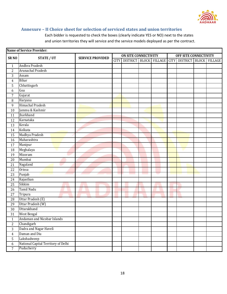

#### <span id="page-17-0"></span>**Annexure – II Choice sheet for selection of serviced states and union territories**

Each bidder is requested to check the boxes (clearly indicate YES or NO) next to the states and union territories they will service and the service models deployed as per the contract.

| <b>Name of Service Provider:</b> |                                     |                         |                             |                             |  |                       |  |                     |  |         |
|----------------------------------|-------------------------------------|-------------------------|-----------------------------|-----------------------------|--|-----------------------|--|---------------------|--|---------|
| SR <sub>NO</sub>                 | <b>STATE / UT</b>                   | <b>SERVICE PROVIDED</b> | <b>ON SITE CONNECTIVITY</b> |                             |  | OFF SITE CONNECTIVITY |  |                     |  |         |
|                                  |                                     |                         |                             | CITY DISTRICT BLOCK VILLAGE |  |                       |  | CITY DISTRICT BLOCK |  | VILLAGE |
| $\mathbf{1}$                     | Andhra Pradesh                      |                         |                             |                             |  |                       |  |                     |  |         |
| $\overline{c}$                   | Arunachal Pradesh                   |                         |                             |                             |  |                       |  |                     |  |         |
| 3                                | Assam                               |                         |                             |                             |  |                       |  |                     |  |         |
| $\overline{4}$                   | <b>Bihar</b>                        |                         |                             |                             |  |                       |  |                     |  |         |
| 5                                | Chhattisgarh                        |                         |                             |                             |  |                       |  |                     |  |         |
| 6                                | Goa                                 |                         |                             |                             |  |                       |  |                     |  |         |
| $\boldsymbol{7}$                 | Gujarat                             |                         |                             |                             |  |                       |  |                     |  |         |
| 8                                | Haryana                             |                         |                             |                             |  |                       |  |                     |  |         |
| 9                                | <b>Himachal Pradesh</b>             |                         |                             |                             |  |                       |  |                     |  |         |
| 10                               | Jammu & Kashmir                     |                         |                             |                             |  |                       |  |                     |  |         |
| 11                               | Jharkhand                           |                         |                             |                             |  |                       |  |                     |  |         |
| 12                               | Karnataka                           |                         |                             |                             |  |                       |  |                     |  |         |
| 13                               | Kerala                              |                         |                             |                             |  |                       |  |                     |  |         |
| 14                               | Kolkata                             |                         |                             |                             |  |                       |  |                     |  |         |
| 15                               | Madhya Pradesh                      |                         |                             |                             |  |                       |  |                     |  |         |
| 16                               | Maharashtra                         |                         |                             |                             |  |                       |  |                     |  |         |
| 17                               | Manipur                             |                         |                             |                             |  |                       |  |                     |  |         |
| 18                               | Meghalaya                           |                         |                             |                             |  |                       |  |                     |  |         |
| 19                               | Mizoram                             |                         |                             |                             |  |                       |  |                     |  |         |
| 20                               | Mumbai                              |                         |                             |                             |  |                       |  |                     |  |         |
| 21                               | Nagaland                            |                         |                             |                             |  |                       |  |                     |  |         |
| 22                               | <b>Orissa</b>                       |                         |                             |                             |  |                       |  |                     |  |         |
| 23                               | Punjab                              |                         |                             |                             |  |                       |  |                     |  |         |
| 24                               | Rajasthan                           |                         |                             |                             |  |                       |  |                     |  |         |
| 25                               | Sikkim                              |                         |                             |                             |  |                       |  |                     |  |         |
| 26                               | Tamil Nadu                          |                         |                             |                             |  |                       |  |                     |  |         |
| 27                               | Tripura                             |                         |                             |                             |  |                       |  |                     |  |         |
| 28                               | Uttar Pradesh (E)                   |                         |                             |                             |  |                       |  |                     |  |         |
| 29                               | Uttar Pradesh (W)                   |                         |                             |                             |  |                       |  |                     |  |         |
| 30                               | Uttarakhand                         |                         |                             |                             |  |                       |  |                     |  |         |
| $\overline{31}$                  | <b>West Bengal</b>                  |                         |                             |                             |  |                       |  |                     |  |         |
| $\mathbf{1}$                     | Andaman and Nicobar Islands         |                         |                             |                             |  |                       |  |                     |  |         |
| $\overline{c}$                   | Chandigarh                          |                         |                             |                             |  |                       |  |                     |  |         |
| 3                                | Dadra and Nagar Haveli              |                         |                             |                             |  |                       |  |                     |  |         |
| $\overline{4}$                   | Daman and Diu                       |                         |                             |                             |  |                       |  |                     |  |         |
| 5                                | Lakshadweep                         |                         |                             |                             |  |                       |  |                     |  |         |
| 6                                | National Capital Territory of Delhi |                         |                             |                             |  |                       |  |                     |  |         |
| $\overline{7}$                   | Puducherry                          |                         |                             |                             |  |                       |  |                     |  |         |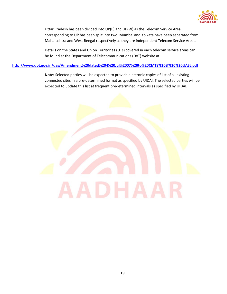

Uttar Pradesh has been divided into UP(E) and UP(W) as the Telecom Service Area corresponding to UP has been split into two. Mumbai and Kolkata have been separated from Maharashtra and West Bengal respectively as they are independent Telecom Service Areas.

Details on the States and Union Territories (UTs) covered in each telecom service areas can be found at the Department of Telecommunications (DoT) website at

#### **<http://www.dot.gov.in/uas/Amendment%20dated%204%20Jul%2007%20to%20CMTS%20&%20%20UASL.pdf>**

**Note:** Selected parties will be expected to provide electronic copies of list of all existing connected sites in a pre-determined format as specified by UIDAI. The selected parties will be expected to update this list at frequent predetermined intervals as specified by UIDAI.